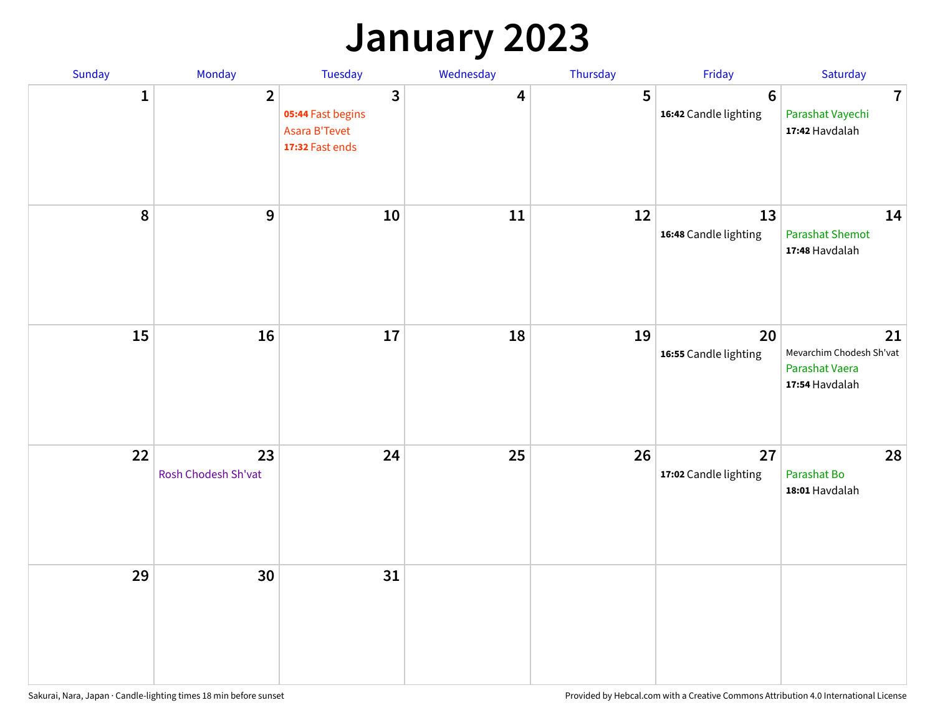## **January 2023**

| Sunday    | Monday                    | Tuesday                                                                        | Wednesday | Thursday | Friday                                   | Saturday                                                           |
|-----------|---------------------------|--------------------------------------------------------------------------------|-----------|----------|------------------------------------------|--------------------------------------------------------------------|
| 1         | $\overline{2}$            | $\overline{3}$<br>05:44 Fast begins<br><b>Asara B'Tevet</b><br>17:32 Fast ends | 4         | 5        | $6\phantom{1}6$<br>16:42 Candle lighting | $\overline{7}$<br>Parashat Vayechi<br>17:42 Havdalah               |
| $\pmb{8}$ | $\boldsymbol{9}$          | 10                                                                             | 11        | 12       | 13<br>16:48 Candle lighting              | 14<br><b>Parashat Shemot</b><br>17:48 Havdalah                     |
| 15        | 16                        | 17                                                                             | 18        | 19       | 20<br>16:55 Candle lighting              | 21<br>Mevarchim Chodesh Sh'vat<br>Parashat Vaera<br>17:54 Havdalah |
| 22        | 23<br>Rosh Chodesh Sh'vat | 24                                                                             | 25        | 26       | 27<br>17:02 Candle lighting              | 28<br>Parashat Bo<br>18:01 Havdalah                                |
| 29        | 30                        | 31                                                                             |           |          |                                          |                                                                    |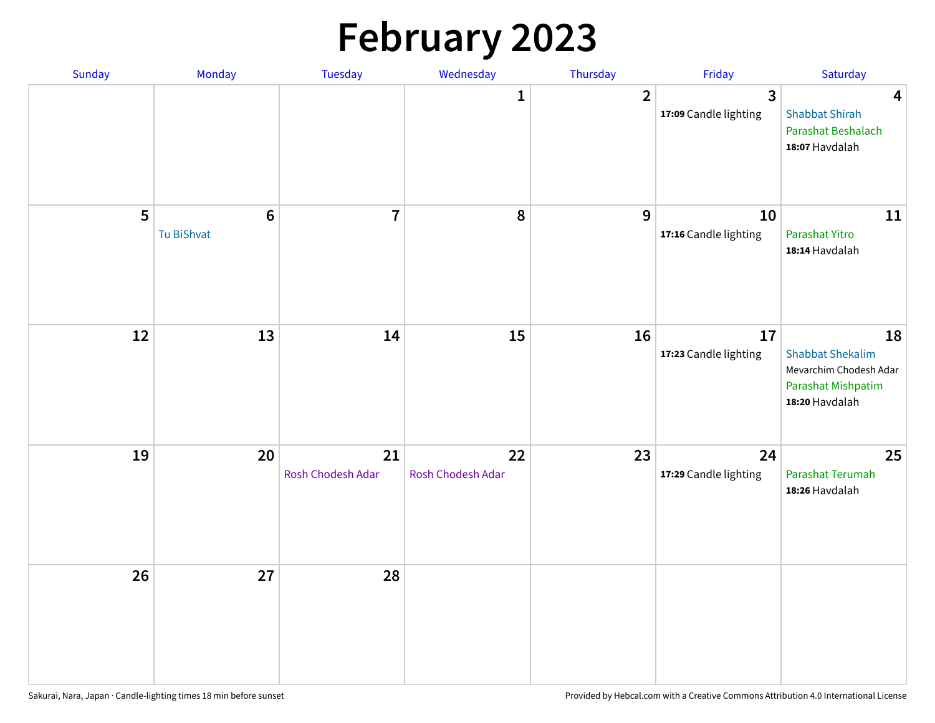# **February 2023**

| Sunday | Monday                        | Tuesday                 | Wednesday               | Thursday       | Friday                                  | Saturday                                                                                        |
|--------|-------------------------------|-------------------------|-------------------------|----------------|-----------------------------------------|-------------------------------------------------------------------------------------------------|
|        |                               |                         | 1                       | $\overline{2}$ | $\overline{3}$<br>17:09 Candle lighting | $\overline{\mathbf{4}}$<br><b>Shabbat Shirah</b><br>Parashat Beshalach<br>18:07 Havdalah        |
| 5      | $6\phantom{1}6$<br>Tu BiShvat | $\overline{7}$          | 8                       | 9              | 10<br>17:16 Candle lighting             | 11<br>Parashat Yitro<br>18:14 Havdalah                                                          |
| 12     | 13                            | 14                      | 15                      | 16             | 17<br>17:23 Candle lighting             | 18<br><b>Shabbat Shekalim</b><br>Mevarchim Chodesh Adar<br>Parashat Mishpatim<br>18:20 Havdalah |
| 19     | 20                            | 21<br>Rosh Chodesh Adar | 22<br>Rosh Chodesh Adar | 23             | 24<br>17:29 Candle lighting             | 25<br>Parashat Terumah<br>18:26 Havdalah                                                        |
| 26     | 27                            | 28                      |                         |                |                                         |                                                                                                 |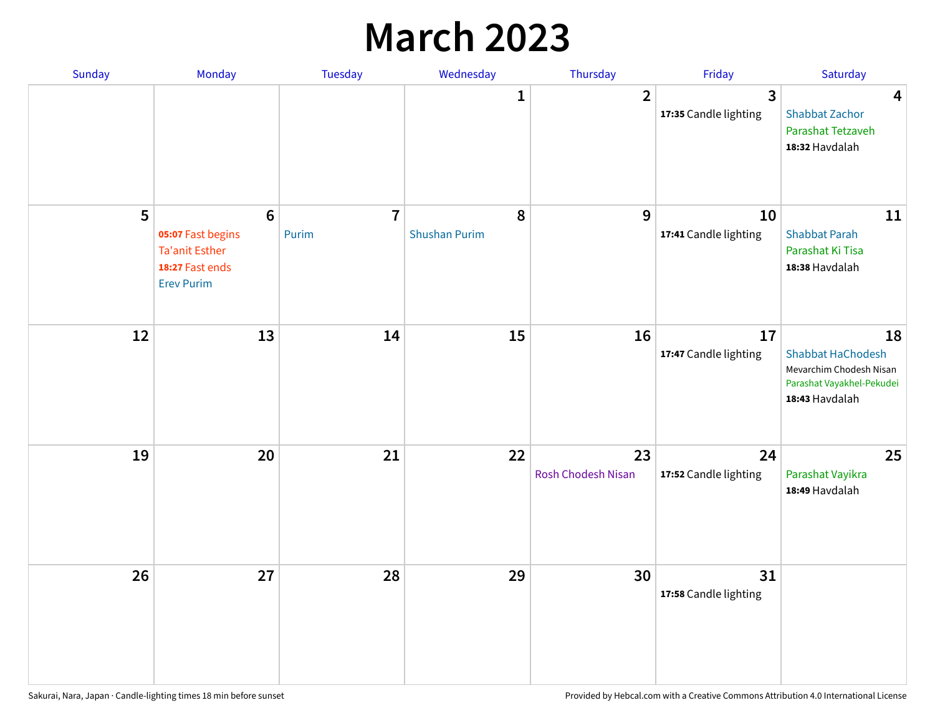## **March 2023**

| Sunday | Monday                                                                                                | Tuesday                 | Wednesday                 | Thursday                 | Friday                      | Saturday                                                                                                 |
|--------|-------------------------------------------------------------------------------------------------------|-------------------------|---------------------------|--------------------------|-----------------------------|----------------------------------------------------------------------------------------------------------|
|        |                                                                                                       |                         | 1                         | $\overline{2}$           | 3<br>17:35 Candle lighting  | $\overline{\mathbf{4}}$<br><b>Shabbat Zachor</b><br>Parashat Tetzaveh<br>18:32 Havdalah                  |
| 5      | $6\phantom{1}6$<br>05:07 Fast begins<br><b>Ta'anit Esther</b><br>18:27 Fast ends<br><b>Erev Purim</b> | $\overline{7}$<br>Purim | 8<br><b>Shushan Purim</b> | 9                        | 10<br>17:41 Candle lighting | 11<br><b>Shabbat Parah</b><br>Parashat Ki Tisa<br>18:38 Havdalah                                         |
| 12     | 13                                                                                                    | 14                      | 15                        | 16                       | 17<br>17:47 Candle lighting | 18<br><b>Shabbat HaChodesh</b><br>Mevarchim Chodesh Nisan<br>Parashat Vayakhel-Pekudei<br>18:43 Havdalah |
| 19     | 20                                                                                                    | 21                      | 22                        | 23<br>Rosh Chodesh Nisan | 24<br>17:52 Candle lighting | 25<br>Parashat Vayikra<br>18:49 Havdalah                                                                 |
| 26     | 27                                                                                                    | 28                      | 29                        | 30                       | 31<br>17:58 Candle lighting |                                                                                                          |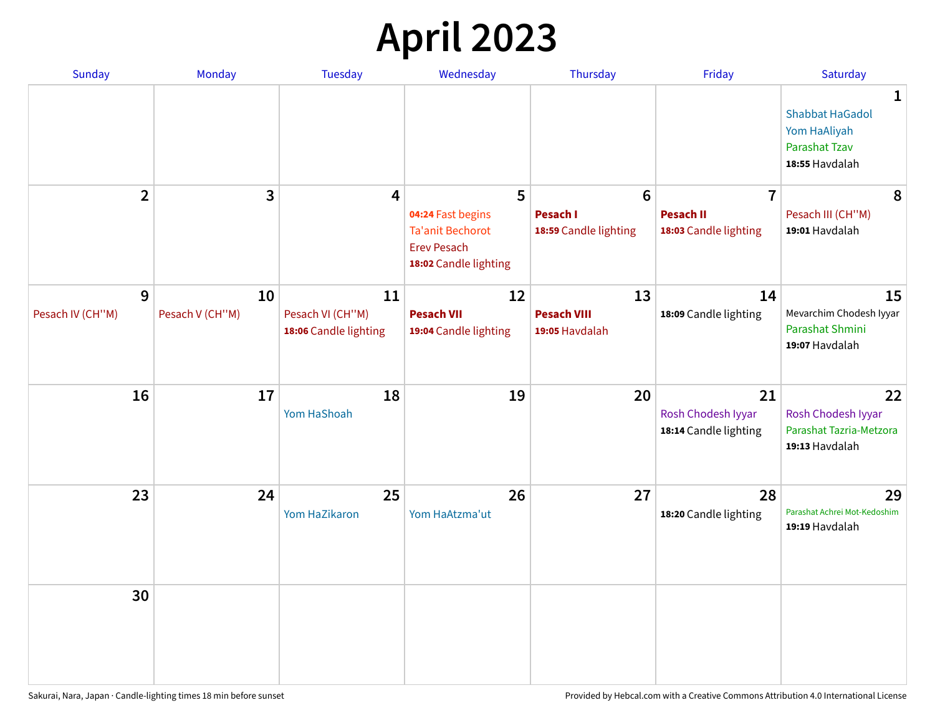# **April 2023**

| Sunday                | Monday                | <b>Tuesday</b>         | Wednesday                                                                                   | Thursday                                 | Friday                                            | Saturday                                                                              |
|-----------------------|-----------------------|------------------------|---------------------------------------------------------------------------------------------|------------------------------------------|---------------------------------------------------|---------------------------------------------------------------------------------------|
|                       |                       |                        |                                                                                             |                                          |                                                   | 1<br><b>Shabbat HaGadol</b><br>Yom HaAliyah<br><b>Parashat Tzav</b><br>18:55 Havdalah |
| $\overline{2}$        | 3                     | 4                      | 5                                                                                           | $6\phantom{1}6$                          | $\overline{7}$                                    | 8                                                                                     |
|                       |                       |                        | 04:24 Fast begins<br><b>Ta'anit Bechorot</b><br><b>Erev Pesach</b><br>18:02 Candle lighting | <b>Pesach I</b><br>18:59 Candle lighting | <b>Pesach II</b><br>18:03 Candle lighting         | Pesach III (CH"M)<br>19:01 Havdalah                                                   |
| 9<br>Pesach IV (CH"M) | 10<br>Pesach V (CH"M) | 11<br>Pesach VI (CH"M) | 12<br><b>Pesach VII</b>                                                                     | 13<br><b>Pesach VIII</b>                 | 14<br>18:09 Candle lighting                       | 15<br>Mevarchim Chodesh Iyyar                                                         |
|                       |                       | 18:06 Candle lighting  | 19:04 Candle lighting                                                                       | 19:05 Havdalah                           |                                                   | Parashat Shmini<br>19:07 Havdalah                                                     |
| 16                    | 17                    | 18<br>Yom HaShoah      | 19                                                                                          | 20                                       | 21<br>Rosh Chodesh Iyyar<br>18:14 Candle lighting | 22<br>Rosh Chodesh Iyyar<br>Parashat Tazria-Metzora<br>19:13 Havdalah                 |
| 23                    | 24                    | 25<br>Yom HaZikaron    | 26<br>Yom HaAtzma'ut                                                                        | 27                                       | 28<br>18:20 Candle lighting                       | 29<br>Parashat Achrei Mot-Kedoshim<br>19:19 Havdalah                                  |
| 30                    |                       |                        |                                                                                             |                                          |                                                   |                                                                                       |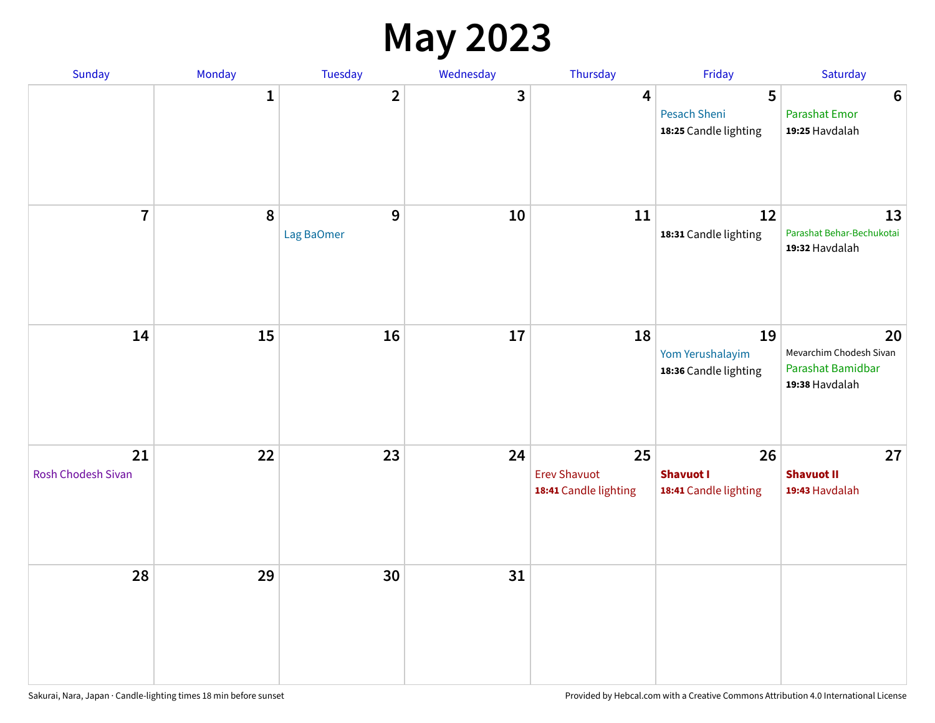## **May 2023**

| Sunday                          | Monday       | Tuesday                      | Wednesday               | Thursday                                           | Friday                                            | Saturday                                                             |
|---------------------------------|--------------|------------------------------|-------------------------|----------------------------------------------------|---------------------------------------------------|----------------------------------------------------------------------|
|                                 | $\mathbf{1}$ | $\overline{\mathbf{2}}$      | $\overline{\mathbf{3}}$ | $\overline{\mathbf{4}}$                            | 5<br><b>Pesach Sheni</b><br>18:25 Candle lighting | $\boldsymbol{6}$<br>Parashat Emor<br>19:25 Havdalah                  |
| $\overline{7}$                  | $\pmb{8}$    | $\overline{9}$<br>Lag BaOmer | 10                      | 11                                                 | 12<br>18:31 Candle lighting                       | 13<br>Parashat Behar-Bechukotai<br>19:32 Havdalah                    |
| 14                              | 15           | 16                           | $17\,$                  | 18                                                 | 19<br>Yom Yerushalayim<br>18:36 Candle lighting   | 20<br>Mevarchim Chodesh Sivan<br>Parashat Bamidbar<br>19:38 Havdalah |
| 21<br><b>Rosh Chodesh Sivan</b> | 22           | 23                           | 24                      | 25<br><b>Erev Shavuot</b><br>18:41 Candle lighting | 26<br><b>Shavuot I</b><br>18:41 Candle lighting   | 27<br><b>Shavuot II</b><br>19:43 Havdalah                            |
| 28                              | 29           | 30                           | 31                      |                                                    |                                                   |                                                                      |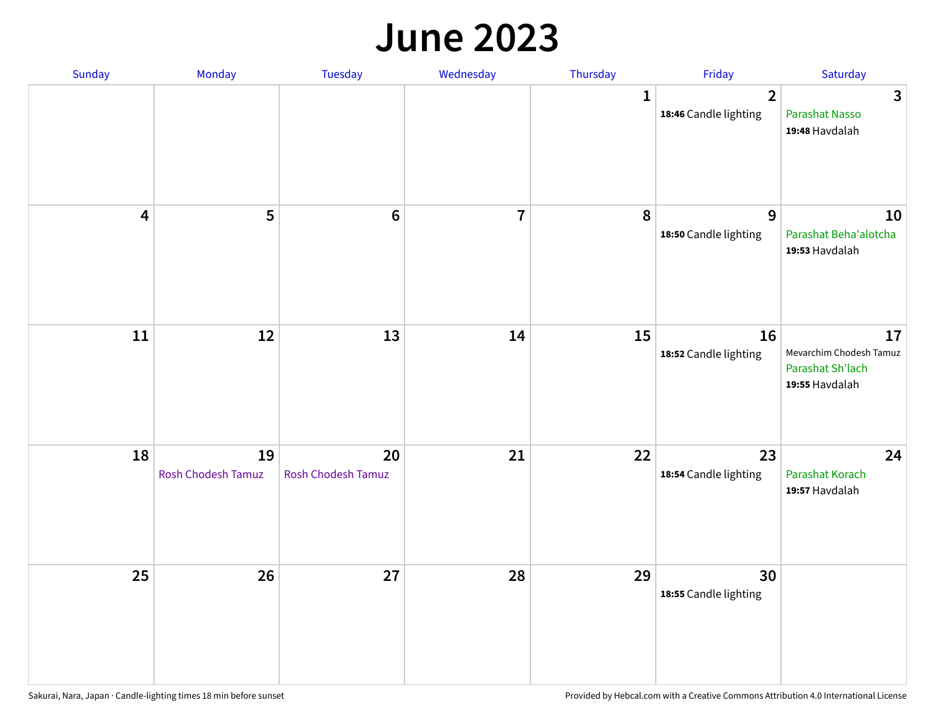#### **June 2023**

| Sunday                  | Monday                   | Tuesday                         | Wednesday      | Thursday     | Friday                                  | Saturday                                                            |
|-------------------------|--------------------------|---------------------------------|----------------|--------------|-----------------------------------------|---------------------------------------------------------------------|
|                         |                          |                                 |                | $\mathbf{1}$ | $\overline{2}$<br>18:46 Candle lighting | $\overline{3}$<br>Parashat Nasso<br>19:48 Havdalah                  |
| $\overline{\mathbf{4}}$ | 5                        | $\bf 6$                         | $\overline{7}$ | 8            | 9<br>18:50 Candle lighting              | 10<br>Parashat Beha'alotcha<br>19:53 Havdalah                       |
| $11\,$                  | 12                       | 13                              | 14             | 15           | 16<br>18:52 Candle lighting             | 17<br>Mevarchim Chodesh Tamuz<br>Parashat Sh'lach<br>19:55 Havdalah |
| 18                      | 19<br>Rosh Chodesh Tamuz | 20<br><b>Rosh Chodesh Tamuz</b> | 21             | 22           | 23<br>18:54 Candle lighting             | 24<br>Parashat Korach<br>19:57 Havdalah                             |
| 25                      | 26                       | 27                              | 28             | 29           | 30<br>18:55 Candle lighting             |                                                                     |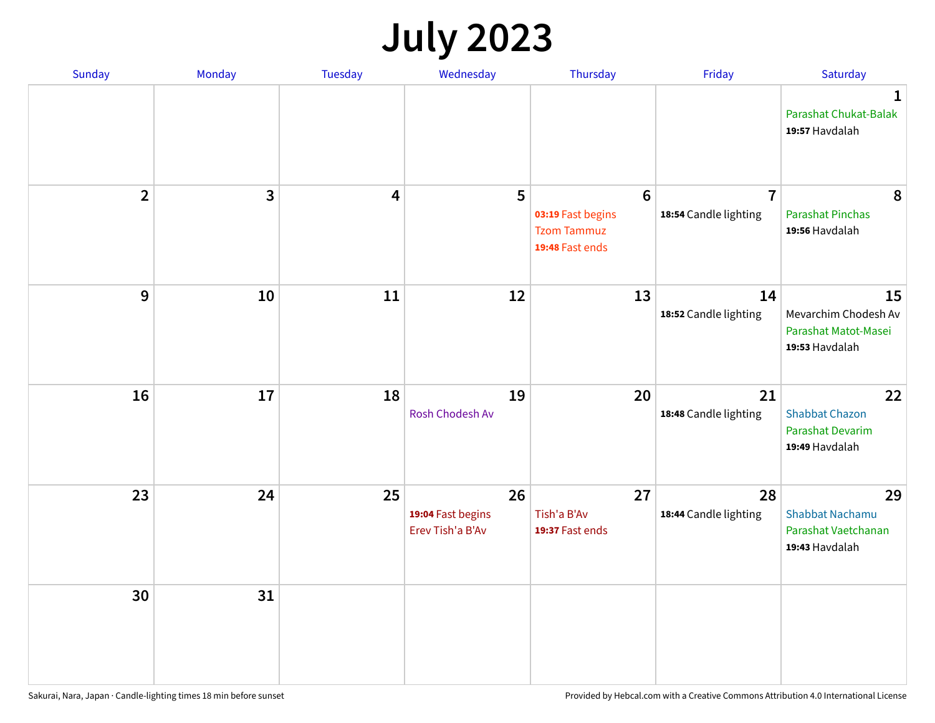# **July 2023**

| Sunday                  | Monday       | <b>Tuesday</b>          | Wednesday                                   | Thursday                                                                      | Friday                                  | Saturday                                                              |
|-------------------------|--------------|-------------------------|---------------------------------------------|-------------------------------------------------------------------------------|-----------------------------------------|-----------------------------------------------------------------------|
|                         |              |                         |                                             |                                                                               |                                         | $\mathbf 1$<br>Parashat Chukat-Balak<br>19:57 Havdalah                |
| $\overline{\mathbf{2}}$ | $\mathbf{3}$ | $\overline{\mathbf{4}}$ | 5                                           | $6\phantom{1}6$<br>03:19 Fast begins<br><b>Tzom Tammuz</b><br>19:48 Fast ends | $\overline{7}$<br>18:54 Candle lighting | 8<br><b>Parashat Pinchas</b><br>19:56 Havdalah                        |
| 9                       | 10           | 11                      | 12                                          | 13                                                                            | 14<br>18:52 Candle lighting             | 15<br>Mevarchim Chodesh Av<br>Parashat Matot-Masei<br>19:53 Havdalah  |
| 16                      | 17           | 18                      | 19<br>Rosh Chodesh Av                       | 20                                                                            | 21<br>18:48 Candle lighting             | 22<br><b>Shabbat Chazon</b><br>Parashat Devarim<br>19:49 Havdalah     |
| 23                      | 24           | 25                      | 26<br>19:04 Fast begins<br>Erev Tish'a B'Av | 27<br>Tish'a B'Av<br>19:37 Fast ends                                          | 28<br>18:44 Candle lighting             | 29<br><b>Shabbat Nachamu</b><br>Parashat Vaetchanan<br>19:43 Havdalah |
| 30                      | 31           |                         |                                             |                                                                               |                                         |                                                                       |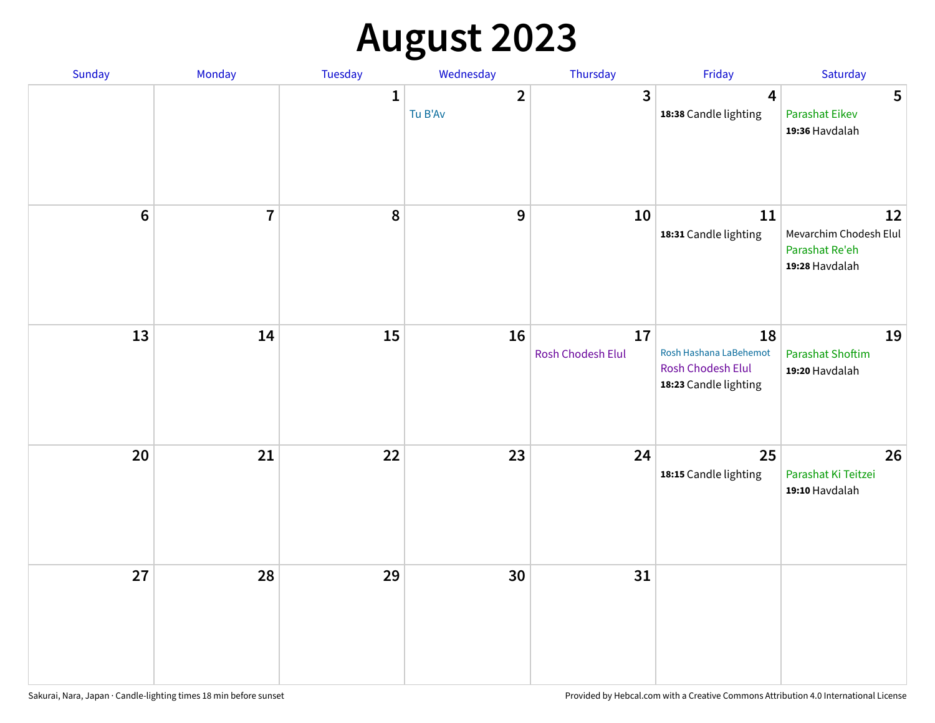# **August 2023**

| Sunday | Monday         | Tuesday      | Wednesday               | Thursday                | Friday                                                                            | Saturday                                                         |
|--------|----------------|--------------|-------------------------|-------------------------|-----------------------------------------------------------------------------------|------------------------------------------------------------------|
|        |                | $\mathbf{1}$ | $\mathbf{2}$<br>Tu B'Av | $\overline{\mathbf{3}}$ | 4<br>18:38 Candle lighting                                                        | 5<br><b>Parashat Eikev</b><br>19:36 Havdalah                     |
| $6\,$  | $\overline{7}$ | 8            | 9                       | 10                      | 11<br>18:31 Candle lighting                                                       | 12<br>Mevarchim Chodesh Elul<br>Parashat Re'eh<br>19:28 Havdalah |
| 13     | 14             | 15           | 16                      | 17<br>Rosh Chodesh Elul | 18<br>Rosh Hashana LaBehemot<br><b>Rosh Chodesh Elul</b><br>18:23 Candle lighting | 19<br><b>Parashat Shoftim</b><br>19:20 Havdalah                  |
| 20     | 21             | 22           | 23                      | 24                      | 25<br>18:15 Candle lighting                                                       | 26<br>Parashat Ki Teitzei<br>19:10 Havdalah                      |
| 27     | 28             | 29           | 30                      | 31                      |                                                                                   |                                                                  |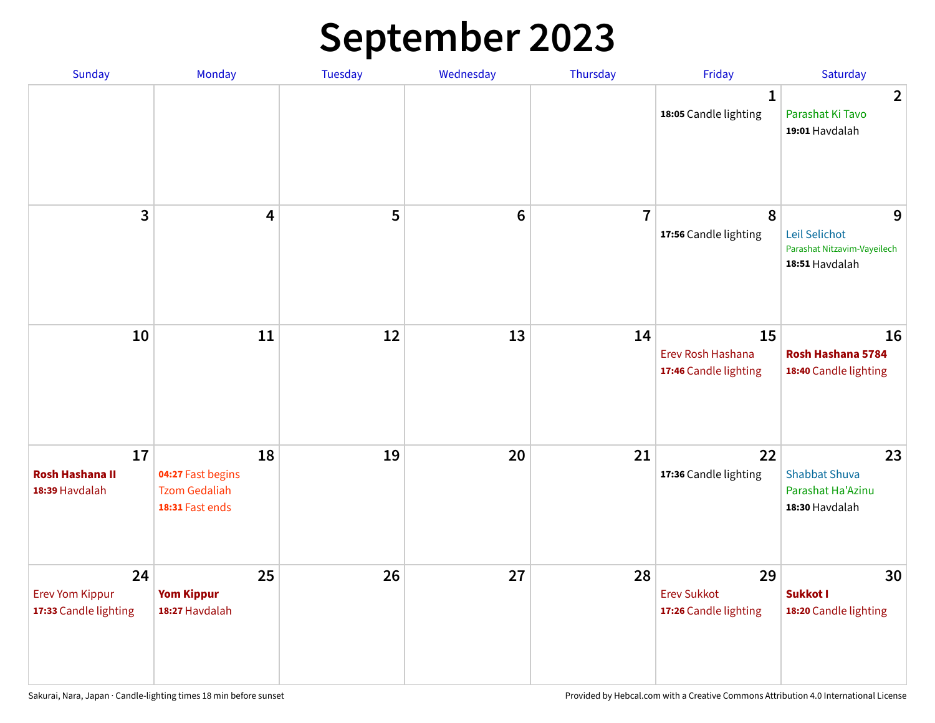# **September 2023**

| Sunday                                                | Monday                                                             | Tuesday | Wednesday       | Thursday       | Friday                                            | Saturday                                                            |
|-------------------------------------------------------|--------------------------------------------------------------------|---------|-----------------|----------------|---------------------------------------------------|---------------------------------------------------------------------|
|                                                       |                                                                    |         |                 |                | 1<br>18:05 Candle lighting                        | $\overline{2}$<br>Parashat Ki Tavo<br>19:01 Havdalah                |
| 3                                                     | $\overline{\mathbf{4}}$                                            | 5       | $6\phantom{1}6$ | $\overline{7}$ | 8<br>17:56 Candle lighting                        | 9<br>Leil Selichot<br>Parashat Nitzavim-Vayeilech<br>18:51 Havdalah |
| 10                                                    | 11                                                                 | 12      | 13              | 14             | 15<br>Erev Rosh Hashana<br>17:46 Candle lighting  | 16<br>Rosh Hashana 5784<br>18:40 Candle lighting                    |
| 17<br><b>Rosh Hashana II</b><br>18:39 Havdalah        | 18<br>04:27 Fast begins<br><b>Tzom Gedaliah</b><br>18:31 Fast ends | 19      | 20              | 21             | 22<br>17:36 Candle lighting                       | 23<br><b>Shabbat Shuva</b><br>Parashat Ha'Azinu<br>18:30 Havdalah   |
| 24<br><b>Erev Yom Kippur</b><br>17:33 Candle lighting | 25<br><b>Yom Kippur</b><br>18:27 Havdalah                          | 26      | 27              | 28             | 29<br><b>Erev Sukkot</b><br>17:26 Candle lighting | 30<br>Sukkot I<br>18:20 Candle lighting                             |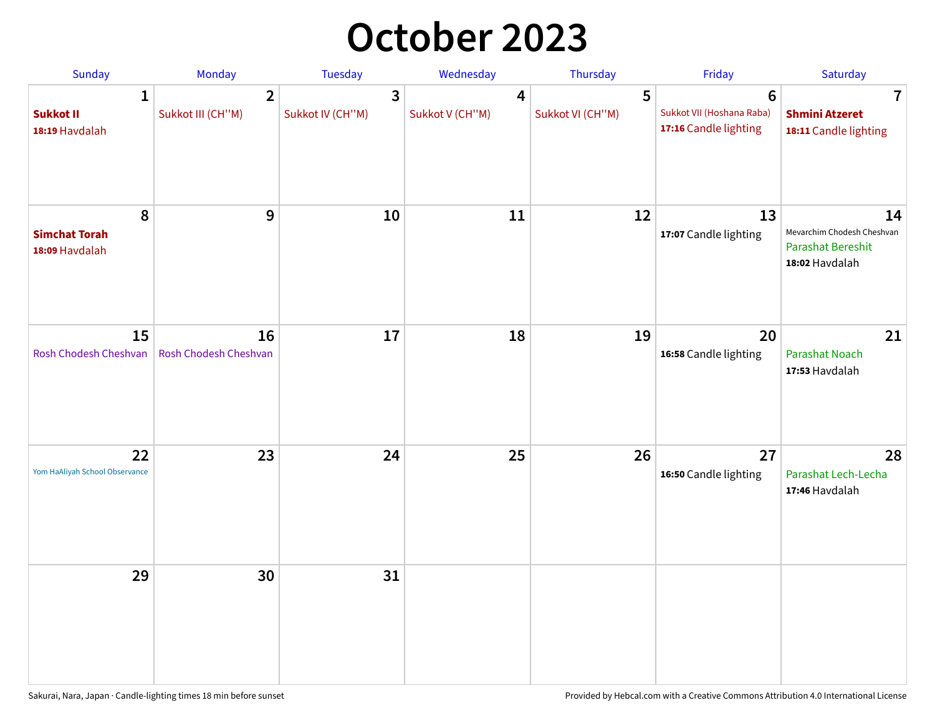## **October 2023**

| Sunday                                             | <b>Monday</b>                       | <b>Tuesday</b>        | Wednesday            | Thursday              | Friday                                                               | Saturday                                                                       |
|----------------------------------------------------|-------------------------------------|-----------------------|----------------------|-----------------------|----------------------------------------------------------------------|--------------------------------------------------------------------------------|
| $\mathbf{1}$<br><b>Sukkot II</b><br>18:19 Havdalah | $\overline{2}$<br>Sukkot III (CH"M) | 3<br>Sukkot IV (CH"M) | 4<br>Sukkot V (CH"M) | 5<br>Sukkot VI (CH"M) | $6\phantom{1}$<br>Sukkot VII (Hoshana Raba)<br>17:16 Candle lighting | 7<br><b>Shmini Atzeret</b><br>18:11 Candle lighting                            |
| 8<br><b>Simchat Torah</b><br>18:09 Havdalah        | $\boldsymbol{9}$                    | 10                    | 11                   | 12                    | 13<br>17:07 Candle lighting                                          | 14<br>Mevarchim Chodesh Cheshvan<br><b>Parashat Bereshit</b><br>18:02 Havdalah |
| 15<br>Rosh Chodesh Cheshvan                        | 16<br>Rosh Chodesh Cheshvan         | 17                    | 18                   | 19                    | 20<br>16:58 Candle lighting                                          | 21<br>Parashat Noach<br>17:53 Havdalah                                         |
| 22<br>Yom HaAliyah School Observance               | 23                                  | 24                    | 25                   | 26                    | 27<br>16:50 Candle lighting                                          | 28<br>Parashat Lech-Lecha<br>17:46 Havdalah                                    |
| 29                                                 | 30                                  | 31                    |                      |                       |                                                                      |                                                                                |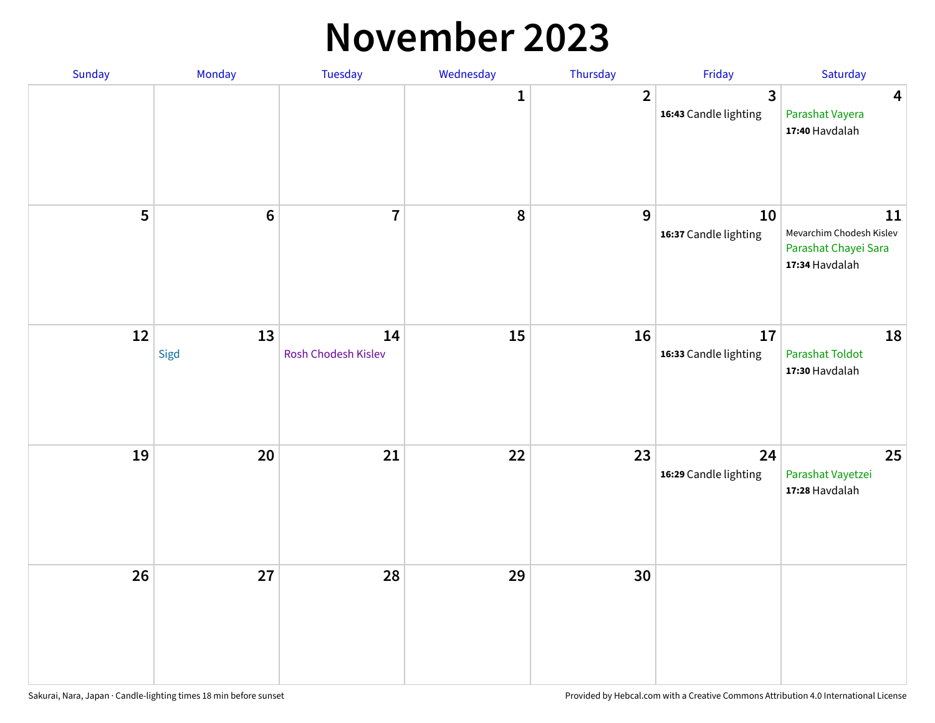#### **November 2023**

| Sunday | Monday          | Tuesday                   | Wednesday    | Thursday       | Friday                                  | Saturday                                                                 |
|--------|-----------------|---------------------------|--------------|----------------|-----------------------------------------|--------------------------------------------------------------------------|
|        |                 |                           | $\mathbf{1}$ | $\overline{2}$ | $\overline{3}$<br>16:43 Candle lighting | $\overline{\mathbf{4}}$<br>Parashat Vayera<br>17:40 Havdalah             |
| 5      | $6\phantom{1}6$ | $\overline{7}$            | 8            | 9              | 10<br>16:37 Candle lighting             | 11<br>Mevarchim Chodesh Kislev<br>Parashat Chayei Sara<br>17:34 Havdalah |
| 12     | 13<br>Sigd      | 14<br>Rosh Chodesh Kislev | 15           | 16             | 17<br>16:33 Candle lighting             | 18<br><b>Parashat Toldot</b><br>17:30 Havdalah                           |
| 19     | 20              | 21                        | 22           | 23             | 24<br>16:29 Candle lighting             | 25<br>Parashat Vayetzei<br>17:28 Havdalah                                |
| 26     | 27              | 28                        | 29           | 30             |                                         |                                                                          |